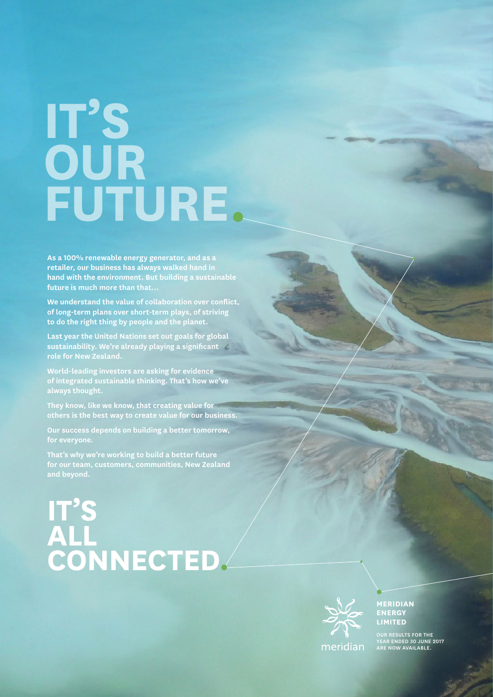## **IT'S OUR FUTURE .**

**As a 100% renewable energy generator, and as a retailer, our business has always walked hand in hand with the environment. But building a sustainable future is much more than that…** 

**We understand the value of collaboration over conflict, of long-term plans over short-term plays, of striving to do the right thing by people and the planet.** 

**Last year the United Nations set out goals for global sustainability. We're already playing a significant** 

**World-leading investors are asking for evidence of integrated sustainable thinking. That's how we've always thought.** 

**They know, like we know, that creating value for others is the best way to create value for our business.** 

**Our success depends on building a better tomorrow, for everyone.**

**That's why we're working to build a better future for our team, customers, communities, New Zealand and beyond.**

## **IT'S ALL CONNECTED.**



**MERIDIAN LIMITED**

OUR RESULTS FOR THE YEAR ENDED 30 JUNE 2017 TEAR ENDED SO JONE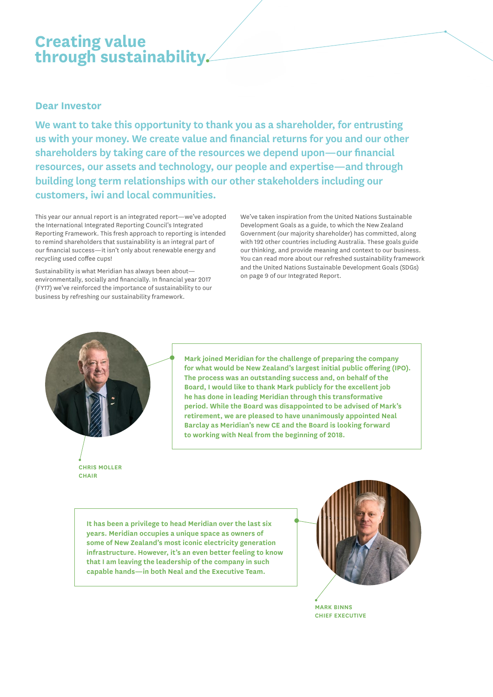## **Creating value through sustainability.**

## **Dear Investor**

**We want to take this opportunity to thank you as a shareholder, for entrusting us with your money. We create value and financial returns for you and our other shareholders by taking care of the resources we depend upon—our financial resources, our assets and technology, our people and expertise—and through building long term relationships with our other stakeholders including our customers, iwi and local communities.**

This year our annual report is an integrated report—we've adopted the International Integrated Reporting Council's Integrated Reporting Framework. This fresh approach to reporting is intended to remind shareholders that sustainability is an integral part of our financial success—it isn't only about renewable energy and recycling used coffee cups!

Sustainability is what Meridian has always been about environmentally, socially and financially. In financial year 2017 (FY17) we've reinforced the importance of sustainability to our business by refreshing our sustainability framework.

We've taken inspiration from the United Nations Sustainable Development Goals as a guide, to which the New Zealand Government (our majority shareholder) has committed, along with 192 other countries including Australia. These goals guide our thinking, and provide meaning and context to our business. You can read more about our refreshed sustainability framework and the United Nations Sustainable Development Goals (SDGs) on page 9 of our Integrated Report.



**Mark joined Meridian for the challenge of preparing the company for what would be New Zealand's largest initial public offering (IPO). The process was an outstanding success and, on behalf of the Board, I would like to thank Mark publicly for the excellent job he has done in leading Meridian through this transformative period. While the Board was disappointed to be advised of Mark's retirement, we are pleased to have unanimously appointed Neal Barclay as Meridian's new CE and the Board is looking forward to working with Neal from the beginning of 2018.**

**CHRIS MOLLER CHAIR**

> **It has been a privilege to head Meridian over the last six years. Meridian occupies a unique space as owners of some of New Zealand's most iconic electricity generation infrastructure. However, it's an even better feeling to know that I am leaving the leadership of the company in such capable hands—in both Neal and the Executive Team.**



**MARK BINNS CHIEF EXECUTIVE**